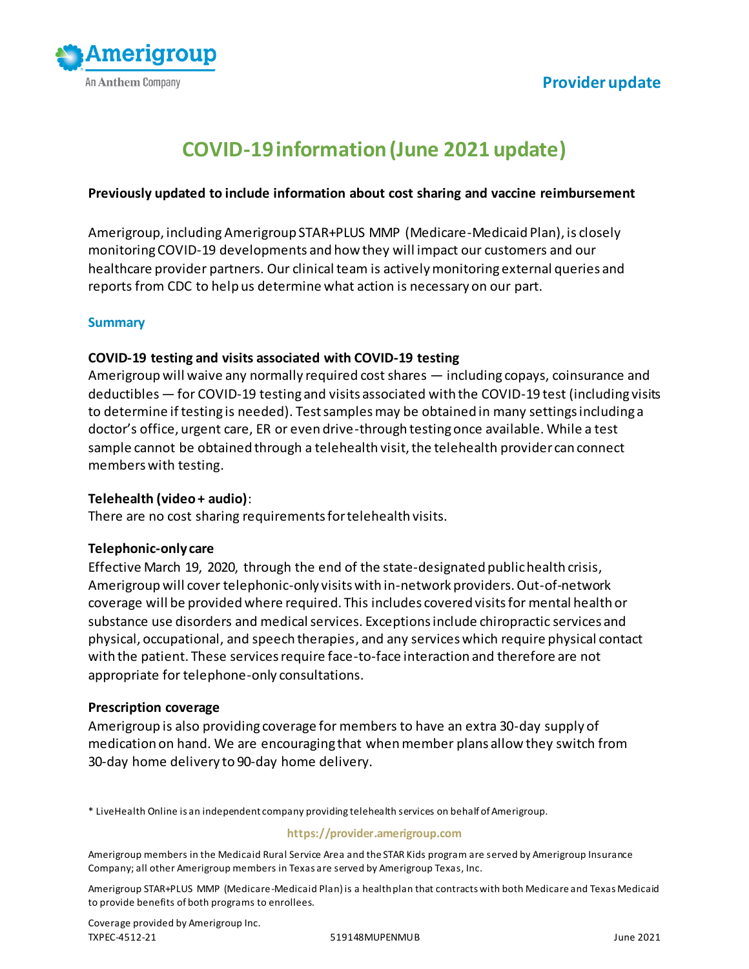

# **COVID-19 information (June 2021 update)**

#### **Previously updated to include information about cost sharing and vaccine reimbursement**

Amerigroup, including Amerigroup STAR+PLUS MMP (Medicare-Medicaid Plan), is closely monitoring COVID-19 developments and how they will impact our customers and our healthcare provider partners. Our clinical team is actively monitoring external queries and reports from CDC to help us determine what action is necessary on our part.

#### **Summary**

#### **COVID-19 testing and visits associated with COVID-19 testing**

Amerigroup will waive any normally required cost shares — including copays, coinsurance and deductibles — for COVID-19 testing and visits associated with the COVID-19 test (including visits to determine if testing is needed). Test samples may be obtained in many settings including a doctor's office, urgent care, ER or even drive-through testing once available. While a test sample cannot be obtained through a telehealth visit, the telehealth provider can connect members with testing.

## **Telehealth (video + audio)**:

There are no cost sharing requirements for telehealth visits.

## **Telephonic-only care**

Effective March 19, 2020, through the end of the state-designated public health crisis, Amerigroup will cover telephonic-only visits with in-network providers. Out-of-network coverage will be provided where required. This includes covered visits for mental health or substance use disorders and medical services. Exceptions include chiropractic services and physical, occupational, and speech therapies, and any services which require physical contact with the patient. These services require face-to-face interaction and therefore are not appropriate for telephone-only consultations.

#### **Prescription coverage**

Amerigroup is also providing coverage for members to have an extra 30-day supply of medication on hand. We are encouraging that when member plans allow they switch from 30-day home delivery to 90-day home delivery.

\* LiveHealth Online is an independent company providing telehealth services on behalf of Amerigroup.

#### **https://provider.amerigroup.com**

Amerigroup members in the Medicaid Rural Service Area and the STAR Kids program are served by Amerigroup Insurance Company; all other Amerigroup members in Texas are served by Amerigroup Texas, Inc.

Amerigroup STAR+PLUS MMP (Medicare-Medicaid Plan) is a health plan that contracts with both Medicare and Texas Medicaid to provide benefits of both programs to enrollees.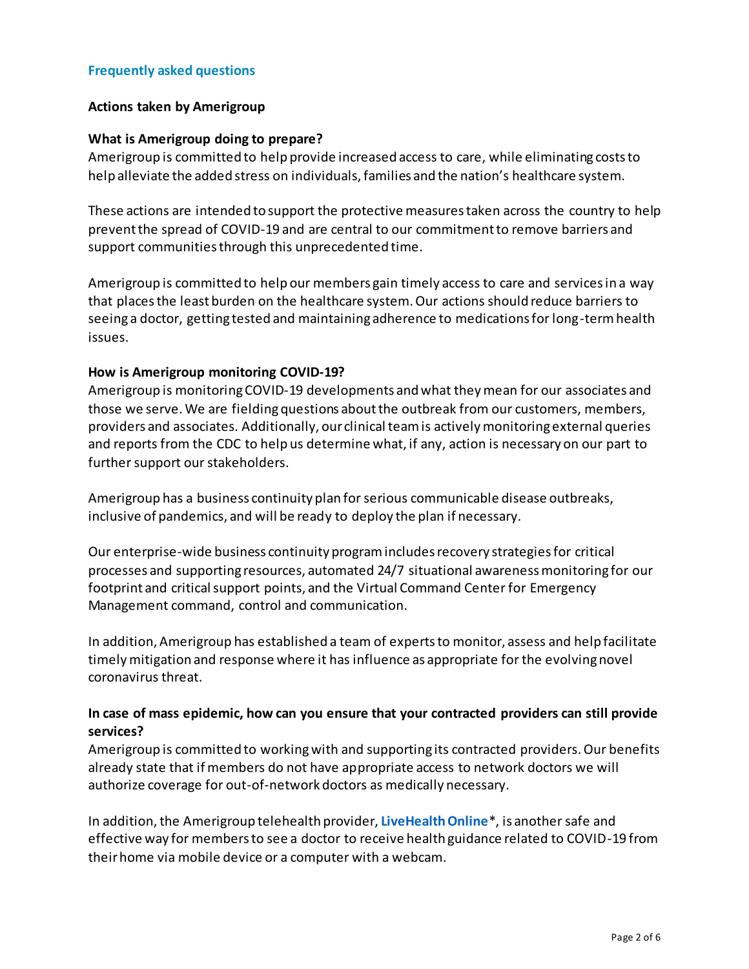## **Frequently asked questions**

#### **Actions taken by Amerigroup**

#### **What is Amerigroup doing to prepare?**

Amerigroup is committed to help provide increased access to care, while eliminating costs to help alleviate the added stress on individuals, families and the nation's healthcare system.

These actions are intended to support the protective measures taken across the country to help prevent the spread of COVID-19 and are central to our commitment to remove barriers and support communities through this unprecedented time.

Amerigroup is committed to help our members gain timely access to care and services in a way that places the least burden on the healthcare system. Our actions should reduce barriers to seeing a doctor, getting tested and maintaining adherence to medications for long-term health issues.

#### **How is Amerigroup monitoring COVID-19?**

Amerigroup is monitoring COVID-19 developments and what they mean for our associates and those we serve. We are fielding questions about the outbreak from our customers, members, providers and associates. Additionally, our clinical team is actively monitoring external queries and reports from the CDC to help us determine what, if any, action is necessary on our part to further support our stakeholders.

Amerigroup has a business continuity plan for serious communicable disease outbreaks, inclusive of pandemics, and will be ready to deploy the plan if necessary.

Our enterprise-wide business continuity program includes recovery strategies for critical processes and supporting resources, automated 24/7 situational awareness monitoring for our footprint and critical support points, and the Virtual Command Center for Emergency Management command, control and communication.

In addition, Amerigroup has established a team of experts to monitor, assess and help facilitate timely mitigation and response where it has influence as appropriate for the evolving novel coronavirus threat.

# **In case of mass epidemic, how can you ensure that your contracted providers can still provide services?**

Amerigroup is committed to working with and supporting its contracted providers. Our benefits already state that if members do not have appropriate access to network doctors we will authorize coverage for out-of-network doctors as medically necessary.

In addition, the Amerigroup telehealth provider, **[LiveHealth Online](http://www.livehealthonline.com/)**\*, is another safe and effective way for members to see a doctor to receive health guidance related to COVID-19 from their home via mobile device or a computer with a webcam.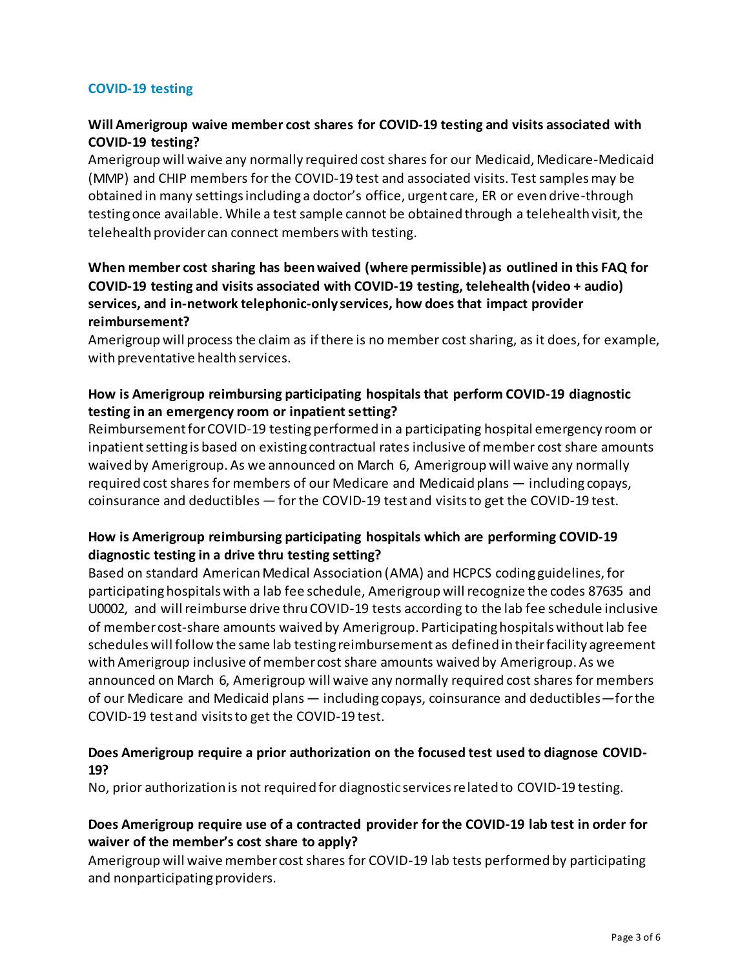# **COVID-19 testing**

# **Will Amerigroup waive member cost shares for COVID-19 testing and visits associated with COVID-19 testing?**

Amerigroup will waive any normally required cost shares for our Medicaid, Medicare-Medicaid (MMP) and CHIP members for the COVID-19 test and associated visits. Test samples may be obtained in many settings including a doctor's office, urgent care, ER or even drive-through testing once available. While a test sample cannot be obtained through a telehealth visit, the telehealth provider can connect members with testing.

# **When member cost sharing has been waived (where permissible) as outlined in this FAQ for COVID-19 testing and visits associated with COVID-19 testing, telehealth (video + audio) services, and in-network telephonic-only services, how does that impact provider reimbursement?**

Amerigroup will process the claim as if there is no member cost sharing, as it does, for example, with preventative health services.

# **How is Amerigroup reimbursing participating hospitals that perform COVID-19 diagnostic testing in an emergency room or inpatient setting?**

Reimbursement for COVID-19 testing performed in a participating hospital emergency room or inpatient setting is based on existing contractual rates inclusive of member cost share amounts waived by Amerigroup. As we announced on March 6, Amerigroup will waive any normally required cost shares for members of our Medicare and Medicaid plans — including copays, coinsurance and deductibles — for the COVID-19 test and visits to get the COVID-19 test.

# **How is Amerigroup reimbursing participating hospitals which are performing COVID-19 diagnostic testing in a drive thru testing setting?**

Based on standard American Medical Association (AMA) and HCPCS coding guidelines, for participating hospitals with a lab fee schedule, Amerigroup will recognize the codes 87635 and U0002, and will reimburse drive thru COVID-19 tests according to the lab fee schedule inclusive of member cost-share amounts waived by Amerigroup. Participating hospitals without lab fee schedules will follow the same lab testing reimbursement as defined in their facility agreement with Amerigroup inclusive of member cost share amounts waived by Amerigroup. As we announced on March 6, Amerigroup will waive any normally required cost shares for members of our Medicare and Medicaid plans — including copays, coinsurance and deductibles—for the COVID-19 test and visits to get the COVID-19 test.

# **Does Amerigroup require a prior authorization on the focused test used to diagnose COVID-19?**

No, prior authorization is not required for diagnostic services related to COVID-19 testing.

# **Does Amerigroup require use of a contracted provider for the COVID-19 lab test in order for waiver of the member's cost share to apply?**

Amerigroup will waive member cost shares for COVID-19 lab tests performed by participating and nonparticipating providers.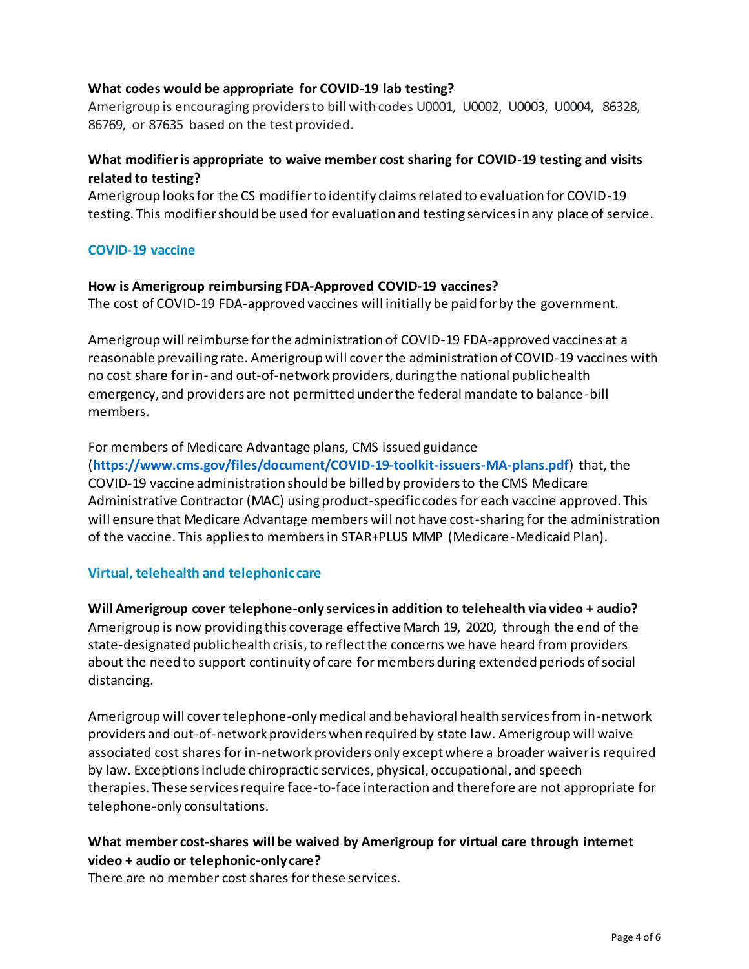# **What codes would be appropriate for COVID-19 lab testing?**

Amerigroup is encouraging providers to bill with codes U0001, U0002, U0003, U0004, 86328, 86769, or 87635 based on the test provided.

# **What modifier is appropriate to waive member cost sharing for COVID-19 testing and visits related to testing?**

Amerigroup looks for the CS modifier to identify claims related to evaluation for COVID-19 testing. This modifier should be used for evaluation and testing services in any place of service.

# **COVID-19 vaccine**

## **How is Amerigroup reimbursing FDA-Approved COVID-19 vaccines?**

The cost of COVID-19 FDA-approved vaccines will initially be paid for by the government.

Amerigroup will reimburse for the administration of COVID-19 FDA-approved vaccines at a reasonable prevailing rate. Amerigroup will cover the administration of COVID-19 vaccines with no cost share for in- and out-of-network providers, during the national public health emergency, and providers are not permitted under the federal mandate to balance -bill members.

For members of Medicare Advantage plans, CMS issued guidance (**<https://www.cms.gov/files/document/COVID-19-toolkit-issuers-MA-plans.pdf>**) that, the COVID-19 vaccine administration should be billed by providers to the CMS Medicare Administrative Contractor (MAC) using product-specific codes for each vaccine approved. This will ensure that Medicare Advantage members will not have cost-sharing for the administration of the vaccine. This applies to members in STAR+PLUS MMP (Medicare-Medicaid Plan).

## **Virtual, telehealth and telephonic care**

**Will Amerigroup cover telephone-only services in addition to telehealth via video + audio?** Amerigroup is now providing this coverage effective March 19, 2020, through the end of the state-designated public health crisis, to reflect the concerns we have heard from providers about the need to support continuity of care for members during extended periods of social distancing.

Amerigroup will cover telephone-only medical and behavioral health services from in-network providers and out-of-network providers when required by state law. Amerigroup will waive associated cost shares for in-network providers only except where a broader waiver is required by law. Exceptions include chiropractic services, physical, occupational, and speech therapies. These services require face-to-face interaction and therefore are not appropriate for telephone-only consultations.

# **What member cost-shares will be waived by Amerigroup for virtual care through internet video + audio or telephonic-only care?**

There are no member cost shares for these services.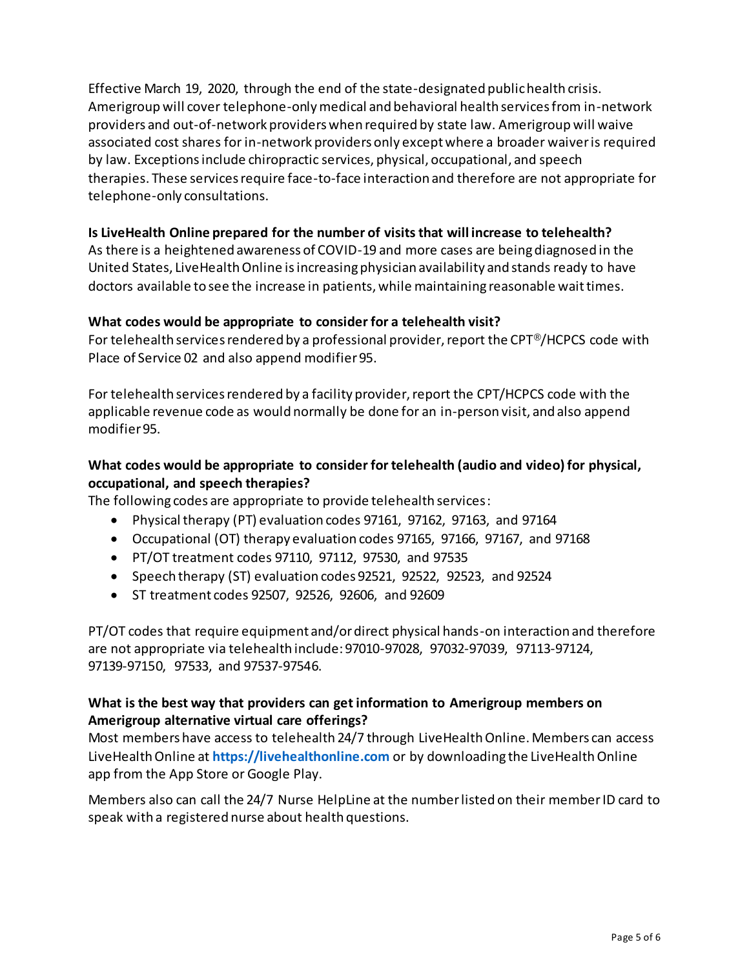Effective March 19, 2020, through the end of the state-designated public health crisis. Amerigroup will cover telephone-only medical and behavioral health services from in-network providers and out-of-network providers when required by state law. Amerigroup will waive associated cost shares for in-network providers only except where a broader waiver is required by law. Exceptions include chiropractic services, physical, occupational, and speech therapies. These services require face-to-face interaction and therefore are not appropriate for telephone-only consultations.

# **Is LiveHealth Online prepared for the number of visits that will increase to telehealth?**

As there is a heightened awareness of COVID-19 and more cases are being diagnosed in the United States, LiveHealth Online is increasing physician availability and stands ready to have doctors available to see the increase in patients, while maintaining reasonable wait times.

## **What codes would be appropriate to consider for a telehealth visit?**

For telehealth services rendered by a professional provider, report the CPT®/HCPCS code with Place of Service 02 and also append modifier 95.

For telehealth services rendered by a facility provider, report the CPT/HCPCS code with the applicable revenue code as would normally be done for an in-person visit, and also append modifier 95.

# **What codes would be appropriate to consider for telehealth (audio and video) for physical, occupational, and speech therapies?**

The following codes are appropriate to provide telehealth services:

- Physical therapy (PT) evaluation codes 97161, 97162, 97163, and 97164
- Occupational (OT) therapy evaluation codes 97165, 97166, 97167, and 97168
- PT/OT treatment codes 97110, 97112, 97530, and 97535
- Speech therapy (ST) evaluation codes 92521, 92522, 92523, and 92524
- ST treatment codes 92507, 92526, 92606, and 92609

PT/OT codes that require equipment and/or direct physical hands-on interaction and therefore are not appropriate via telehealth include: 97010-97028, 97032-97039, 97113-97124, 97139-97150, 97533, and 97537-97546.

# **What is the best way that providers can get information to Amerigroup members on Amerigroup alternative virtual care offerings?**

Most members have access to telehealth 24/7 through LiveHealth Online. Members can access LiveHealth Online at **[https://livehealthonline.com](https://livehealthonline.com/)** or by downloading the LiveHealth Online app from the App Store or Google Play.

Members also can call the 24/7 Nurse HelpLine at the number listed on their member ID card to speak with a registered nurse about health questions.